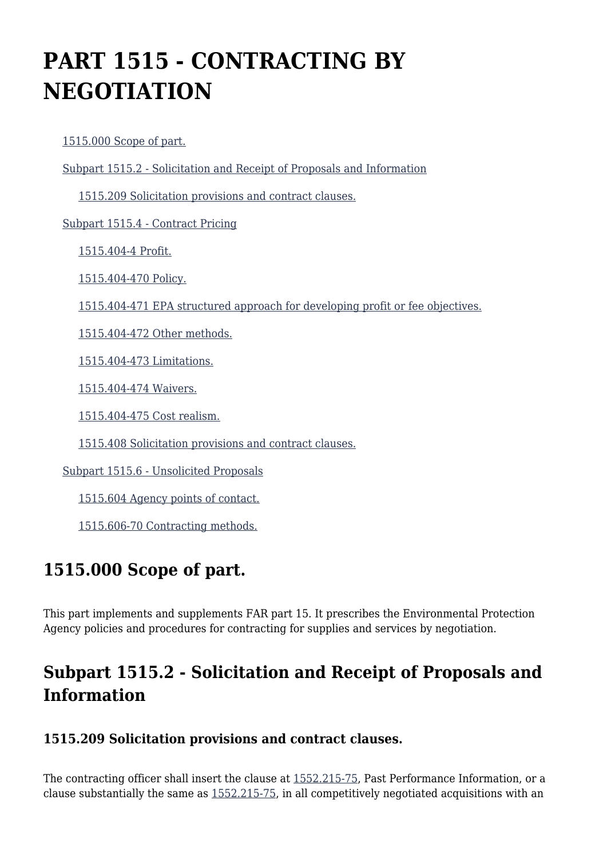# **PART 1515 - CONTRACTING BY NEGOTIATION**

[1515.000 Scope of part.](https://origin-www.acquisition.gov/%5Brp:link:epaar-part-1515%5D#Section_1515_000_T48_601313011)

[Subpart 1515.2 - Solicitation and Receipt of Proposals and Information](https://origin-www.acquisition.gov/%5Brp:link:epaar-part-1515%5D#Subpart_1515_2_T48_6013131)

[1515.209 Solicitation provisions and contract clauses.](https://origin-www.acquisition.gov/%5Brp:link:epaar-part-1515%5D#Section_1515_209_T48_601313111)

[Subpart 1515.4 - Contract Pricing](https://origin-www.acquisition.gov/%5Brp:link:epaar-part-1515%5D#Subpart_1515_4_T48_6013132)

[1515.404-4 Profit.](https://origin-www.acquisition.gov/%5Brp:link:epaar-part-1515%5D#Section_1515_404_4_T48_601313211)

[1515.404-470 Policy.](https://origin-www.acquisition.gov/%5Brp:link:epaar-part-1515%5D#Section_1515_404_470_T48_601313212)

[1515.404-471 EPA structured approach for developing profit or fee objectives.](https://origin-www.acquisition.gov/%5Brp:link:epaar-part-1515%5D#Section_1515_404_471_T48_601313213)

[1515.404-472 Other methods.](https://origin-www.acquisition.gov/%5Brp:link:epaar-part-1515%5D#Section_1515_404_472_T48_601313214)

[1515.404-473 Limitations.](https://origin-www.acquisition.gov/%5Brp:link:epaar-part-1515%5D#Section_1515_404_473_T48_601313215)

[1515.404-474 Waivers.](https://origin-www.acquisition.gov/%5Brp:link:epaar-part-1515%5D#Section_1515_404_474_T48_601313216)

[1515.404-475 Cost realism.](https://origin-www.acquisition.gov/%5Brp:link:epaar-part-1515%5D#Section_1515_404_475_T48_601313217)

[1515.408 Solicitation provisions and contract clauses.](https://origin-www.acquisition.gov/%5Brp:link:epaar-part-1515%5D#Section_1515_408_T48_601313218)

[Subpart 1515.6 - Unsolicited Proposals](https://origin-www.acquisition.gov/%5Brp:link:epaar-part-1515%5D#Subpart_1515_6_T48_6013133)

[1515.604 Agency points of contact.](https://origin-www.acquisition.gov/%5Brp:link:epaar-part-1515%5D#Section_1515_604_T48_601313311)

[1515.606-70 Contracting methods.](https://origin-www.acquisition.gov/%5Brp:link:epaar-part-1515%5D#Section_1515_606_70_T48_601313312)

## **1515.000 Scope of part.**

This part implements and supplements FAR part 15. It prescribes the Environmental Protection Agency policies and procedures for contracting for supplies and services by negotiation.

## **Subpart 1515.2 - Solicitation and Receipt of Proposals and Information**

#### **1515.209 Solicitation provisions and contract clauses.**

The contracting officer shall insert the clause at [1552.215-75,](https://origin-www.acquisition.gov/%5Brp:link:epaar-part-1552%5D#Section_1552_215_75_T48_6018371128) Past Performance Information, or a clause substantially the same as [1552.215-75,](https://origin-www.acquisition.gov/%5Brp:link:epaar-part-1552%5D#Section_1552_215_75_T48_6018371128) in all competitively negotiated acquisitions with an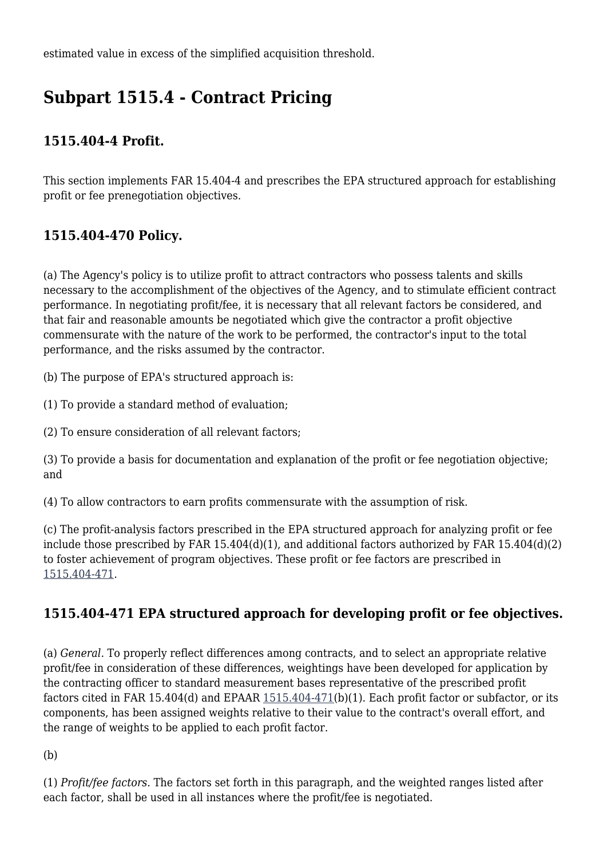estimated value in excess of the simplified acquisition threshold.

# **Subpart 1515.4 - Contract Pricing**

### **1515.404-4 Profit.**

This section implements FAR 15.404-4 and prescribes the EPA structured approach for establishing profit or fee prenegotiation objectives.

### **1515.404-470 Policy.**

(a) The Agency's policy is to utilize profit to attract contractors who possess talents and skills necessary to the accomplishment of the objectives of the Agency, and to stimulate efficient contract performance. In negotiating profit/fee, it is necessary that all relevant factors be considered, and that fair and reasonable amounts be negotiated which give the contractor a profit objective commensurate with the nature of the work to be performed, the contractor's input to the total performance, and the risks assumed by the contractor.

(b) The purpose of EPA's structured approach is:

(1) To provide a standard method of evaluation;

(2) To ensure consideration of all relevant factors;

(3) To provide a basis for documentation and explanation of the profit or fee negotiation objective; and

(4) To allow contractors to earn profits commensurate with the assumption of risk.

(c) The profit-analysis factors prescribed in the EPA structured approach for analyzing profit or fee include those prescribed by FAR 15.404(d)(1), and additional factors authorized by FAR 15.404(d)(2) to foster achievement of program objectives. These profit or fee factors are prescribed in [1515.404-471.](https://origin-www.acquisition.gov/%5Brp:link:epaar-part-1515%5D#Section_1515_404_471_T48_601313213)

### **1515.404-471 EPA structured approach for developing profit or fee objectives.**

(a) *General.* To properly reflect differences among contracts, and to select an appropriate relative profit/fee in consideration of these differences, weightings have been developed for application by the contracting officer to standard measurement bases representative of the prescribed profit factors cited in FAR 15.404(d) and EPAAR [1515.404-471\(](https://origin-www.acquisition.gov/%5Brp:link:epaar-part-1515%5D#Section_1515_404_471_T48_601313213)b)(1). Each profit factor or subfactor, or its components, has been assigned weights relative to their value to the contract's overall effort, and the range of weights to be applied to each profit factor.

(b)

(1) *Profit/fee factors.* The factors set forth in this paragraph, and the weighted ranges listed after each factor, shall be used in all instances where the profit/fee is negotiated.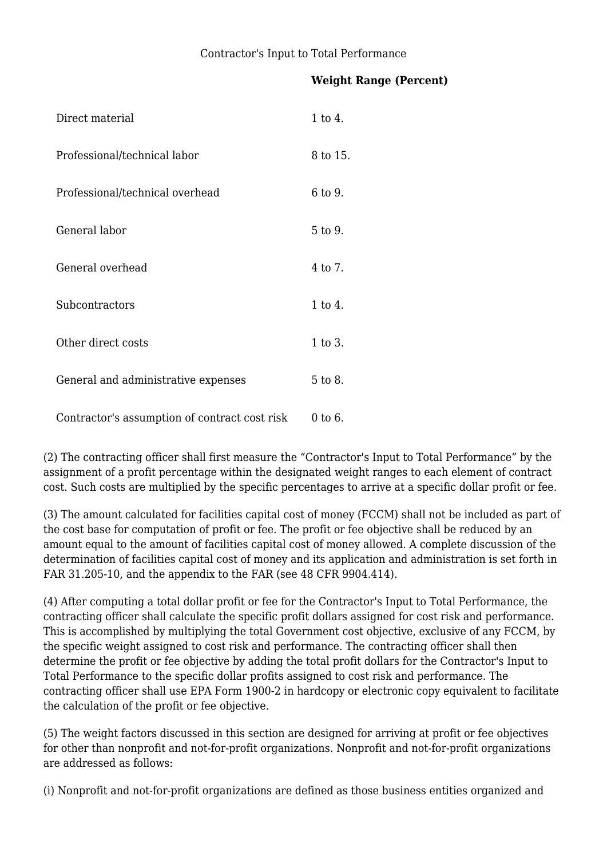#### **Weight Range (Percent)**

| Direct material                               | 1 to 4.  |
|-----------------------------------------------|----------|
| Professional/technical labor                  | 8 to 15. |
| Professional/technical overhead               | 6 to 9.  |
| General labor                                 | 5 to 9.  |
| General overhead                              | 4 to 7.  |
| Subcontractors                                | 1 to 4.  |
| Other direct costs                            | 1 to 3.  |
| General and administrative expenses           | 5 to 8.  |
| Contractor's assumption of contract cost risk | 0 to 6.  |

(2) The contracting officer shall first measure the "Contractor's Input to Total Performance" by the assignment of a profit percentage within the designated weight ranges to each element of contract cost. Such costs are multiplied by the specific percentages to arrive at a specific dollar profit or fee.

(3) The amount calculated for facilities capital cost of money (FCCM) shall not be included as part of the cost base for computation of profit or fee. The profit or fee objective shall be reduced by an amount equal to the amount of facilities capital cost of money allowed. A complete discussion of the determination of facilities capital cost of money and its application and administration is set forth in FAR 31.205-10, and the appendix to the FAR (see 48 CFR 9904.414).

(4) After computing a total dollar profit or fee for the Contractor's Input to Total Performance, the contracting officer shall calculate the specific profit dollars assigned for cost risk and performance. This is accomplished by multiplying the total Government cost objective, exclusive of any FCCM, by the specific weight assigned to cost risk and performance. The contracting officer shall then determine the profit or fee objective by adding the total profit dollars for the Contractor's Input to Total Performance to the specific dollar profits assigned to cost risk and performance. The contracting officer shall use EPA Form 1900-2 in hardcopy or electronic copy equivalent to facilitate the calculation of the profit or fee objective.

(5) The weight factors discussed in this section are designed for arriving at profit or fee objectives for other than nonprofit and not-for-profit organizations. Nonprofit and not-for-profit organizations are addressed as follows:

(i) Nonprofit and not-for-profit organizations are defined as those business entities organized and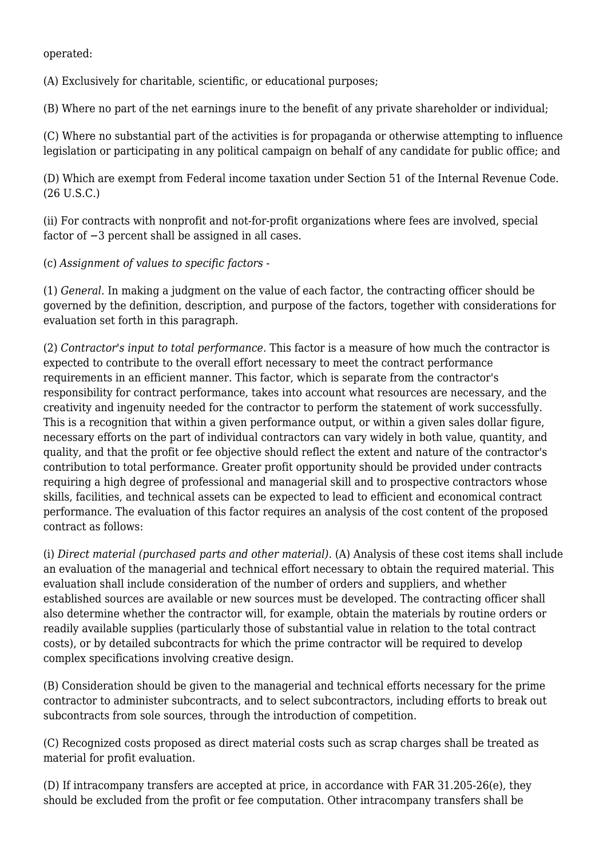operated:

(A) Exclusively for charitable, scientific, or educational purposes;

(B) Where no part of the net earnings inure to the benefit of any private shareholder or individual;

(C) Where no substantial part of the activities is for propaganda or otherwise attempting to influence legislation or participating in any political campaign on behalf of any candidate for public office; and

(D) Which are exempt from Federal income taxation under Section 51 of the Internal Revenue Code. (26 U.S.C.)

(ii) For contracts with nonprofit and not-for-profit organizations where fees are involved, special factor of −3 percent shall be assigned in all cases.

(c) *Assignment of values to specific factors* -

(1) *General.* In making a judgment on the value of each factor, the contracting officer should be governed by the definition, description, and purpose of the factors, together with considerations for evaluation set forth in this paragraph.

(2) *Contractor's input to total performance.* This factor is a measure of how much the contractor is expected to contribute to the overall effort necessary to meet the contract performance requirements in an efficient manner. This factor, which is separate from the contractor's responsibility for contract performance, takes into account what resources are necessary, and the creativity and ingenuity needed for the contractor to perform the statement of work successfully. This is a recognition that within a given performance output, or within a given sales dollar figure, necessary efforts on the part of individual contractors can vary widely in both value, quantity, and quality, and that the profit or fee objective should reflect the extent and nature of the contractor's contribution to total performance. Greater profit opportunity should be provided under contracts requiring a high degree of professional and managerial skill and to prospective contractors whose skills, facilities, and technical assets can be expected to lead to efficient and economical contract performance. The evaluation of this factor requires an analysis of the cost content of the proposed contract as follows:

(i) *Direct material (purchased parts and other material).* (A) Analysis of these cost items shall include an evaluation of the managerial and technical effort necessary to obtain the required material. This evaluation shall include consideration of the number of orders and suppliers, and whether established sources are available or new sources must be developed. The contracting officer shall also determine whether the contractor will, for example, obtain the materials by routine orders or readily available supplies (particularly those of substantial value in relation to the total contract costs), or by detailed subcontracts for which the prime contractor will be required to develop complex specifications involving creative design.

(B) Consideration should be given to the managerial and technical efforts necessary for the prime contractor to administer subcontracts, and to select subcontractors, including efforts to break out subcontracts from sole sources, through the introduction of competition.

(C) Recognized costs proposed as direct material costs such as scrap charges shall be treated as material for profit evaluation.

(D) If intracompany transfers are accepted at price, in accordance with FAR 31.205-26(e), they should be excluded from the profit or fee computation. Other intracompany transfers shall be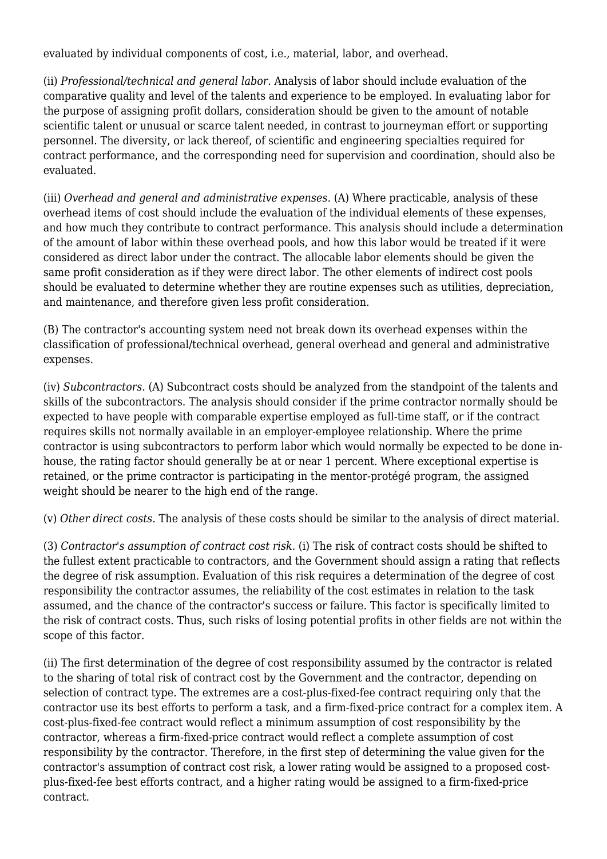evaluated by individual components of cost, i.e., material, labor, and overhead.

(ii) *Professional/technical and general labor.* Analysis of labor should include evaluation of the comparative quality and level of the talents and experience to be employed. In evaluating labor for the purpose of assigning profit dollars, consideration should be given to the amount of notable scientific talent or unusual or scarce talent needed, in contrast to journeyman effort or supporting personnel. The diversity, or lack thereof, of scientific and engineering specialties required for contract performance, and the corresponding need for supervision and coordination, should also be evaluated.

(iii) *Overhead and general and administrative expenses.* (A) Where practicable, analysis of these overhead items of cost should include the evaluation of the individual elements of these expenses, and how much they contribute to contract performance. This analysis should include a determination of the amount of labor within these overhead pools, and how this labor would be treated if it were considered as direct labor under the contract. The allocable labor elements should be given the same profit consideration as if they were direct labor. The other elements of indirect cost pools should be evaluated to determine whether they are routine expenses such as utilities, depreciation, and maintenance, and therefore given less profit consideration.

(B) The contractor's accounting system need not break down its overhead expenses within the classification of professional/technical overhead, general overhead and general and administrative expenses.

(iv) *Subcontractors.* (A) Subcontract costs should be analyzed from the standpoint of the talents and skills of the subcontractors. The analysis should consider if the prime contractor normally should be expected to have people with comparable expertise employed as full-time staff, or if the contract requires skills not normally available in an employer-employee relationship. Where the prime contractor is using subcontractors to perform labor which would normally be expected to be done inhouse, the rating factor should generally be at or near 1 percent. Where exceptional expertise is retained, or the prime contractor is participating in the mentor-protégé program, the assigned weight should be nearer to the high end of the range.

(v) *Other direct costs.* The analysis of these costs should be similar to the analysis of direct material.

(3) *Contractor's assumption of contract cost risk.* (i) The risk of contract costs should be shifted to the fullest extent practicable to contractors, and the Government should assign a rating that reflects the degree of risk assumption. Evaluation of this risk requires a determination of the degree of cost responsibility the contractor assumes, the reliability of the cost estimates in relation to the task assumed, and the chance of the contractor's success or failure. This factor is specifically limited to the risk of contract costs. Thus, such risks of losing potential profits in other fields are not within the scope of this factor.

(ii) The first determination of the degree of cost responsibility assumed by the contractor is related to the sharing of total risk of contract cost by the Government and the contractor, depending on selection of contract type. The extremes are a cost-plus-fixed-fee contract requiring only that the contractor use its best efforts to perform a task, and a firm-fixed-price contract for a complex item. A cost-plus-fixed-fee contract would reflect a minimum assumption of cost responsibility by the contractor, whereas a firm-fixed-price contract would reflect a complete assumption of cost responsibility by the contractor. Therefore, in the first step of determining the value given for the contractor's assumption of contract cost risk, a lower rating would be assigned to a proposed costplus-fixed-fee best efforts contract, and a higher rating would be assigned to a firm-fixed-price contract.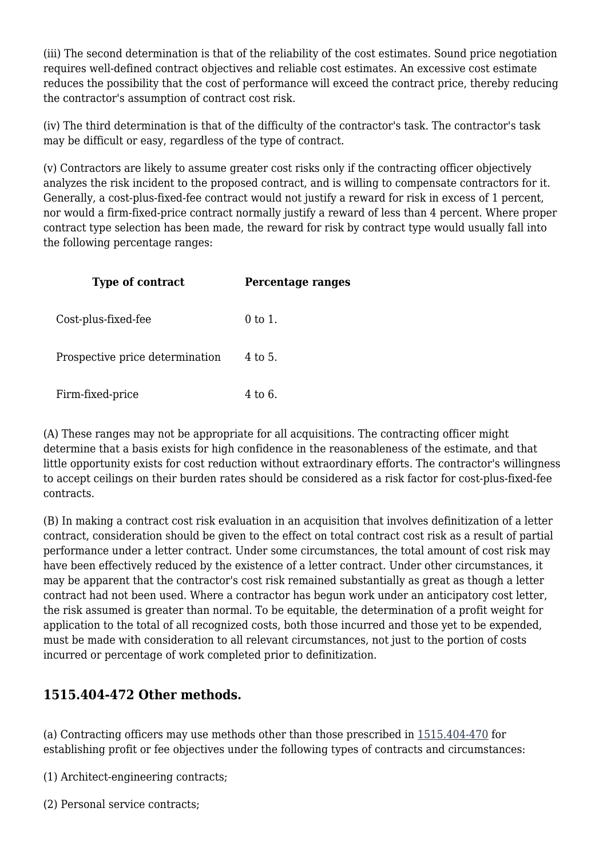(iii) The second determination is that of the reliability of the cost estimates. Sound price negotiation requires well-defined contract objectives and reliable cost estimates. An excessive cost estimate reduces the possibility that the cost of performance will exceed the contract price, thereby reducing the contractor's assumption of contract cost risk.

(iv) The third determination is that of the difficulty of the contractor's task. The contractor's task may be difficult or easy, regardless of the type of contract.

(v) Contractors are likely to assume greater cost risks only if the contracting officer objectively analyzes the risk incident to the proposed contract, and is willing to compensate contractors for it. Generally, a cost-plus-fixed-fee contract would not justify a reward for risk in excess of 1 percent, nor would a firm-fixed-price contract normally justify a reward of less than 4 percent. Where proper contract type selection has been made, the reward for risk by contract type would usually fall into the following percentage ranges:

| <b>Type of contract</b>         | Percentage ranges |
|---------------------------------|-------------------|
| Cost-plus-fixed-fee             | 0 to 1.           |
| Prospective price determination | 4 to 5.           |
| Firm-fixed-price                | 4 to 6.           |

(A) These ranges may not be appropriate for all acquisitions. The contracting officer might determine that a basis exists for high confidence in the reasonableness of the estimate, and that little opportunity exists for cost reduction without extraordinary efforts. The contractor's willingness to accept ceilings on their burden rates should be considered as a risk factor for cost-plus-fixed-fee contracts.

(B) In making a contract cost risk evaluation in an acquisition that involves definitization of a letter contract, consideration should be given to the effect on total contract cost risk as a result of partial performance under a letter contract. Under some circumstances, the total amount of cost risk may have been effectively reduced by the existence of a letter contract. Under other circumstances, it may be apparent that the contractor's cost risk remained substantially as great as though a letter contract had not been used. Where a contractor has begun work under an anticipatory cost letter, the risk assumed is greater than normal. To be equitable, the determination of a profit weight for application to the total of all recognized costs, both those incurred and those yet to be expended, must be made with consideration to all relevant circumstances, not just to the portion of costs incurred or percentage of work completed prior to definitization.

#### **1515.404-472 Other methods.**

(a) Contracting officers may use methods other than those prescribed in [1515.404-470](https://origin-www.acquisition.gov/%5Brp:link:epaar-part-1515%5D#Section_1515_404_470_T48_601313212) for establishing profit or fee objectives under the following types of contracts and circumstances:

(1) Architect-engineering contracts;

(2) Personal service contracts;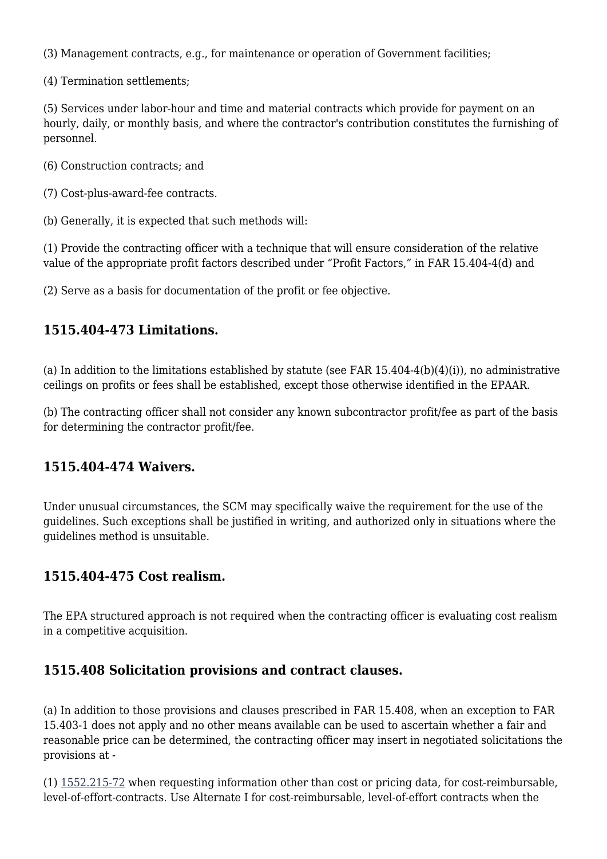(3) Management contracts, e.g., for maintenance or operation of Government facilities;

(4) Termination settlements;

(5) Services under labor-hour and time and material contracts which provide for payment on an hourly, daily, or monthly basis, and where the contractor's contribution constitutes the furnishing of personnel.

(6) Construction contracts; and

(7) Cost-plus-award-fee contracts.

(b) Generally, it is expected that such methods will:

(1) Provide the contracting officer with a technique that will ensure consideration of the relative value of the appropriate profit factors described under "Profit Factors," in FAR 15.404-4(d) and

(2) Serve as a basis for documentation of the profit or fee objective.

#### **1515.404-473 Limitations.**

(a) In addition to the limitations established by statute (see FAR  $15.404-4(b)(4)(i)$ ), no administrative ceilings on profits or fees shall be established, except those otherwise identified in the EPAAR.

(b) The contracting officer shall not consider any known subcontractor profit/fee as part of the basis for determining the contractor profit/fee.

#### **1515.404-474 Waivers.**

Under unusual circumstances, the SCM may specifically waive the requirement for the use of the guidelines. Such exceptions shall be justified in writing, and authorized only in situations where the guidelines method is unsuitable.

#### **1515.404-475 Cost realism.**

The EPA structured approach is not required when the contracting officer is evaluating cost realism in a competitive acquisition.

#### **1515.408 Solicitation provisions and contract clauses.**

(a) In addition to those provisions and clauses prescribed in FAR 15.408, when an exception to FAR 15.403-1 does not apply and no other means available can be used to ascertain whether a fair and reasonable price can be determined, the contracting officer may insert in negotiated solicitations the provisions at -

(1) [1552.215-72](https://origin-www.acquisition.gov/%5Brp:link:epaar-part-1552%5D#Section_1552_215_72_T48_6018371125) when requesting information other than cost or pricing data, for cost-reimbursable, level-of-effort-contracts. Use Alternate I for cost-reimbursable, level-of-effort contracts when the